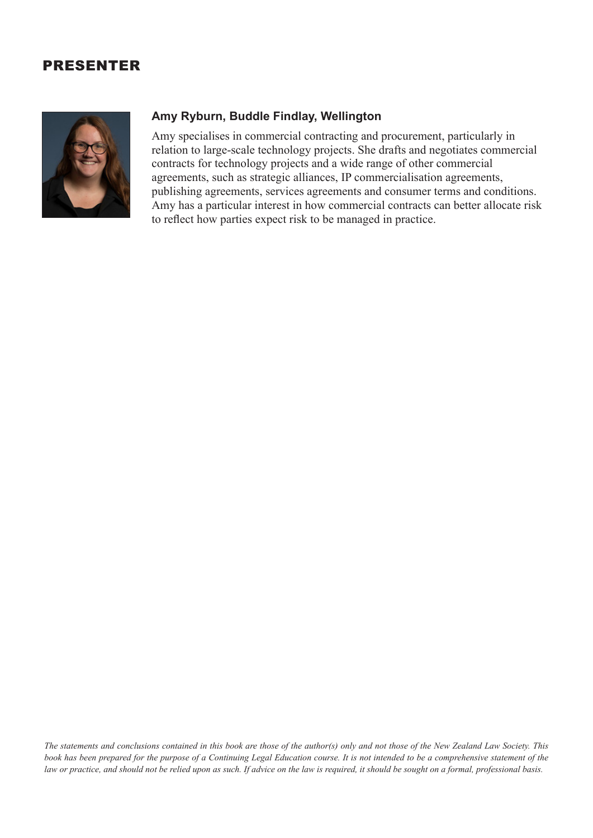## PRESENTER



## **Amy Ryburn, Buddle Findlay, Wellington**

Amy specialises in commercial contracting and procurement, particularly in relation to large-scale technology projects. She drafts and negotiates commercial contracts for technology projects and a wide range of other commercial agreements, such as strategic alliances, IP commercialisation agreements, publishing agreements, services agreements and consumer terms and conditions. Amy has a particular interest in how commercial contracts can better allocate risk to reflect how parties expect risk to be managed in practice.

*The statements and conclusions contained in this book are those of the author(s) only and not those of the New Zealand Law Society. This book has been prepared for the purpose of a Continuing Legal Education course. It is not intended to be a comprehensive statement of the law or practice, and should not be relied upon as such. If advice on the law is required, it should be sought on a formal, professional basis.*